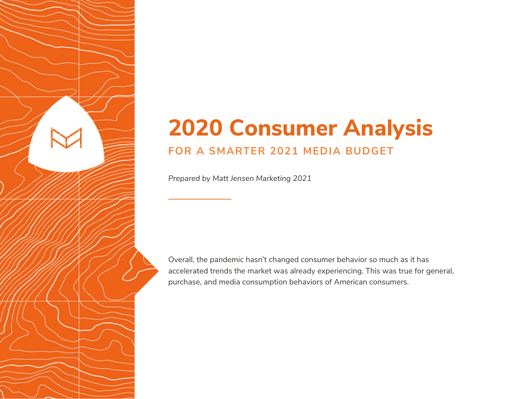## **2020 Consumer Analysis FOR A SMARTER 2021 MEDIA BUDGET**

*Prepared by Matt Jensen Marketing 2021*

Overall, the pandemic hasn't changed consumer behavior so much as it has accelerated trends the market was already experiencing. This was true for general, purchase, and media consumption behaviors of American consumers.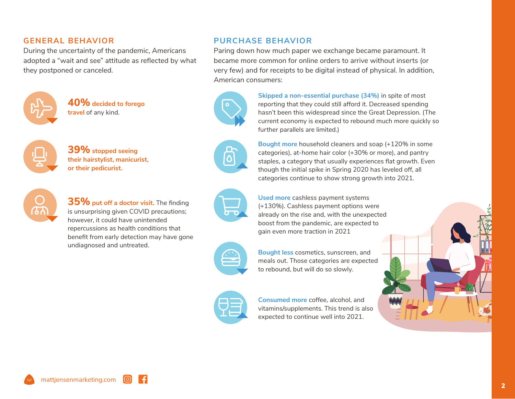## **GENERAL BEHAVIOR**

During the uncertainty of the pandemic, Americans adopted a "wait and see" attitude as reflected by what they postponed or canceled.



**40% decided to forego travel** of any kind.



**39% stopped seeing their hairstylist, manicurist, or their pedicurist.**



 $35\%$  put off a doctor visit. The finding is unsurprising given COVID precautions; however, it could have unintended repercussions as health conditions that benefit from early detection may have gone undiagnosed and untreated.



ொ



**PURCHASE BEHAVIOR**

Paring down how much paper we exchange became paramount. It became more common for online orders to arrive without inserts (or very few) and for receipts to be digital instead of physical. In addition, American consumers:

> **Skipped a non-essential purchase (34%)** in spite of most reporting that they could still afford it. Decreased spending hasn't been this widespread since the Great Depression. (The current economy is expected to rebound much more quickly so further parallels are limited.)

**Bought more** household cleaners and soap (+120% in some categories), at-home hair color (+30% or more), and pantry staples, a category that usually experiences flat growth. Even though the initial spike in Spring 2020 has leveled off, all categories continue to show strong growth into 2021.

**Used more** cashless payment systems (+130%). Cashless payment options were already on the rise and, with the unexpected boost from the pandemic, are expected to gain even more traction in 2021

**Bought less** cosmetics, sunscreen, and meals out. Those categories are expected to rebound, but will do so slowly.



**Consumed more** coffee, alcohol, and vitamins/supplements. This trend is also expected to continue well into 2021.